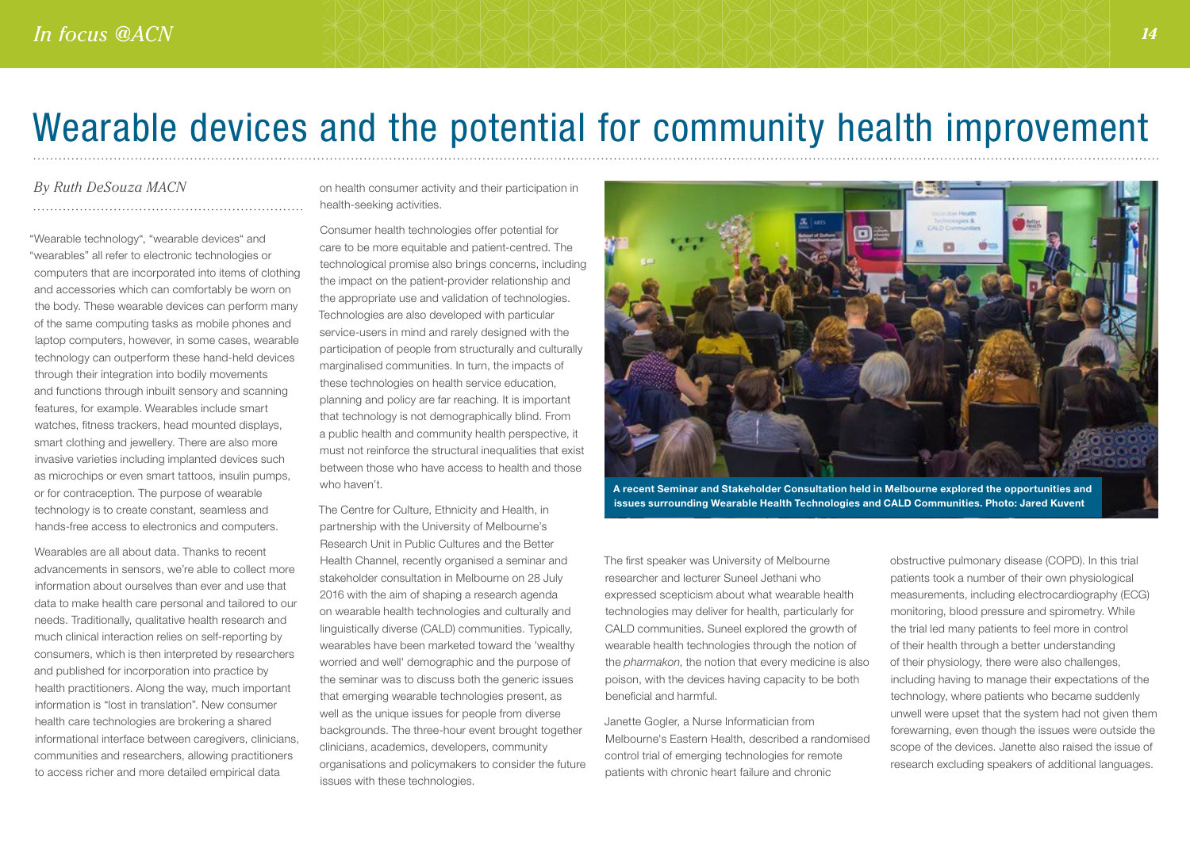## Wearable devices and the potential for community health improvement

#### *By Ruth DeSouza MACN*

"Wearable technology", "wearable devices" and "wearables" all refer to electronic technologies or computers that are incorporated into items of clothing and accessories which can comfortably be worn on the body. These wearable devices can perform many of the same computing tasks as mobile phones and laptop computers, however, in some cases, wearable technology can outperform these hand-held devices through their integration into bodily movements and functions through inbuilt sensory and scanning features, for example. Wearables include smart watches, fitness trackers, head mounted displays, smart clothing and jewellery. There are also more invasive varieties including implanted devices such as microchips or even smart tattoos, insulin pumps, or for contraception. The purpose of wearable technology is to create constant, seamless and hands-free access to electronics and computers.

Wearables are all about data. Thanks to recent advancements in sensors, we're able to collect more information about ourselves than ever and use that data to make health care personal and tailored to our needs. Traditionally, qualitative health research and much clinical interaction relies on self-reporting by consumers, which is then interpreted by researchers and published for incorporation into practice by health practitioners. Along the way, much important information is "lost in translation". New consumer health care technologies are brokering a shared informational interface between caregivers, clinicians, communities and researchers, allowing practitioners to access richer and more detailed empirical data

on health consumer activity and their participation in health-seeking activities.

Consumer health technologies offer potential for care to be more equitable and patient-centred. The technological promise also brings concerns, including the impact on the patient-provider relationship and the appropriate use and validation of technologies. Technologies are also developed with particular service-users in mind and rarely designed with the participation of people from structurally and culturally marginalised communities. In turn, the impacts of these technologies on health service education, planning and policy are far reaching. It is important that technology is not demographically blind. From a public health and community health perspective, it must not reinforce the structural inequalities that exist between those who have access to health and those who haven't.

The Centre for Culture, Ethnicity and Health, in partnership with the University of Melbourne's Research Unit in Public Cultures and the Better Health Channel, recently organised a seminar and stakeholder consultation in Melbourne on 28 July 2016 with the aim of shaping a research agenda on wearable health technologies and culturally and linguistically diverse (CALD) communities. Typically, wearables have been marketed toward the 'wealthy worried and well' demographic and the purpose of the seminar was to discuss both the generic issues that emerging wearable technologies present, as well as the unique issues for people from diverse backgrounds. The three-hour event brought together clinicians, academics, developers, community organisations and policymakers to consider the future issues with these technologies.



A recent Seminar and Stakeholder Consultation held in Melbourne explored the opportunities and issues surrounding Wearable Health Technologies and CALD Communities. Photo: Jared Kuvent

The first speaker was University of Melbourne researcher and lecturer Suneel Jethani who expressed scepticism about what wearable health technologies may deliver for health, particularly for CALD communities. Suneel explored the growth of wearable health technologies through the notion of the *pharmakon*, the notion that every medicine is also poison, with the devices having capacity to be both beneficial and harmful.

Janette Gogler, a Nurse Informatician from Melbourne's Eastern Health, described a randomised control trial of emerging technologies for remote patients with chronic heart failure and chronic

obstructive pulmonary disease (COPD). In this trial patients took a number of their own physiological measurements, including electrocardiography (ECG) monitoring, blood pressure and spirometry. While the trial led many patients to feel more in control of their health through a better understanding of their physiology, there were also challenges, including having to manage their expectations of the technology, where patients who became suddenly unwell were upset that the system had not given them forewarning, even though the issues were outside the scope of the devices. Janette also raised the issue of research excluding speakers of additional languages.